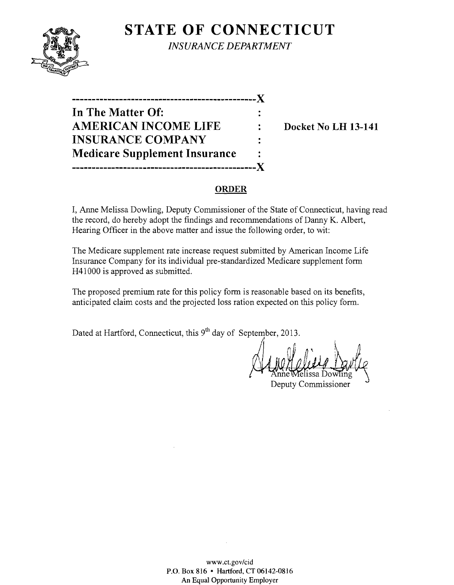

**STATE OF CONNECTICUT** *INSURANCE DEPARTMENT* 

**-----------------------------------------------)( In The Matter Of:**  AMERICAN INCOME LIFE : Docket No LH 13-141 **INSURANCE COMPANY Medicare Supplement Insurance -----------------------------------------------)(** 

## **ORDER**

I, Anne Melissa Dowling, Deputy Commissioner of the State of Connecticut, having read the record, do hereby adopt the findings and recommendations of Danny K. Albert, Hearing Officer in the above matter and issue the following order, to wit:

The Medicare supplement rate increase request submitted by American Income Life Insurance Company for its individual pre-standardized Medicare supplement form H41000 is approved as submitted.

The proposed premium rate for this policy form is reasonable based on its benefits, anticipated claim costs and the projected loss ration expected on this policy form.

Dated at Hartford, Connecticut, this  $9<sup>th</sup>$  day of September, 2013.

l Deputy Commissioner

www.ct.govlcid P.O. Box 816 • Hartford, CT 06142-0816 An Equal Opportunity Employer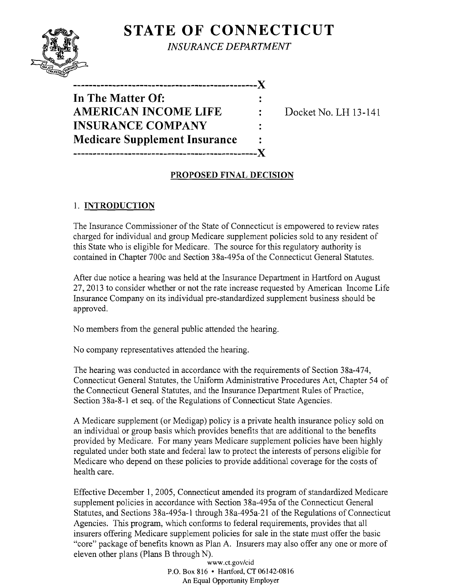

**STATE OF CONNECTICUT** 

*INSURANCE DEPARTMENT* 

**Docket No. LH 13-141** 

## **PROPOSED FINAL DECISION**

# 1. **INTRODUCTION**

The Insurance Commissioner of the State of Connecticut is empowered to review rates charged for individual and group Medicare supplement policies sold to any resident of this State who is eligible for Medicare. The source for this regulatory authority is contained in Chapter 700c and Section 38a-495a of the Connecticut General Statutes.

After due notice a hearing was held at the Insurance Department in Hartford on August 27, 2013 to consider whether or not the rate increase requested by American Income Life Insurance Company on its individual pre-standardized supplement business should be approved.

No members from the general public attended the hearing.

No company representatives attended the hearing.

The hearing was conducted in accordance with the requirements of Section 38a-474, Connecticut General Statutes, the Uniform Administrative Procedures Act, Chapter 54 of the Connecticut General Statutes, and the Insurance Department Rules of Practice, Section 38a-8-l et seq. of the Regulations of Connecticut State Agencies.

A Medicare supplement (or Medigap) policy is a private health insurance policy sold on an individual or group basis which provides benefits that are additional to the benefits provided by Medicare. For many years Medicare supplement policies have been highly regulated under both state and federal law to protect the interests of persons eligible for Medicare who depend on these policies to provide additional coverage for the costs of health care.

Effective December 1, 2005, Connecticut amended its program of standardized Medicare supplement policies in accordance with Section 38a-495a of the Connecticut General Statutes, and Sections 38a-495a-l through 38a-495a-2l of the Regulations of Connecticut Agencies. This program, which conforms to federal requirements, provides that all insurers offering Medicare supplement policies for sale in the state must offer the basic "core" package of benefits known as Plan A. Insurers may also offer anyone or more of eleven other plans (Plans B through N).

> *www.ct.gov/cid*  P.O. Box 816 • Hartford, CT 06142-0816 An Equal Opportunity Employer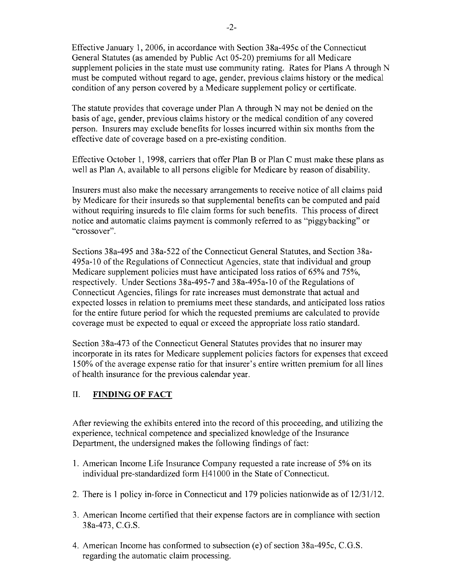Effective January 1,2006, in accordance with Section 38a-495c of the Connecticut General Statutes (as amended by Public Act 05-20) premiums for all Medicare supplement policies in the state must use community rating. Rates for Plans A through N must be computed without regard to age, gender, previous claims history or the medical condition of any person covered by a Medicare supplement policy or certificate.

The statute provides that coverage under Plan A through N may not be denied on the basis of age, gender, previous claims history or the medical condition of any covered person. Insurers may exclude benefits for losses incurred within six months from the effective date of coverage based on a pre-existing condition.

Effective October 1, 1998, carriers that offer Plan B or Plan C must make these plans as well as Plan A, available to all persons eligible for Medicare by reason of disability.

Insurers must also make the necessary arrangements to receive notice of all claims paid by Medicare for their insureds so that supplemental benefits can be computed and paid without requiring insureds to file claim forms for such benefits. This process of direct notice and automatic claims payment is commonly referred to as "piggybacking" or "crossover".

Sections 38a-495 and 38a-522 of the Connecticut General Statutes, and Section 38a-495a-10 of the Regulations of Connecticut Agencies, state that individual and group Medicare supplement policies must have anticipated loss ratios of 65% and 75%, respectively. Under Sections 38a-495-7 and 38a-495a-10 of the Regulations of Connecticut Agencies, filings for rate increases must demonstrate that actual and expected losses in relation to premiums meet these standards, and anticipated loss ratios for the entire future period for which the requested premiums are calculated to provide coverage must be expected to equal or exceed the appropriate loss ratio standard.

Section 38a-473 of the Connecticut General Statutes provides that no insurer may incorporate in its rates for Medicare supplement policies factors for expenses that exceed 150% of the average expense ratio for that insurer's entire written premium for all lines of health insurance for the previous calendar year.

## II. **FINDING OF FACT**

After reviewing the exhibits entered into the record of this proceeding, and utilizing the experience, technical competence and specialized knowledge of the Insurance Department, the undersigned makes the following findings of fact:

- 1. American Income Life Insurance Company requested a rate increase of 5% on its individual pre-standardized form H4l 000 in the State of Connecticut.
- 2. There is 1 policy in-force in Connecticut and 179 policies nationwide as of 12/31/12.
- 3. American Income certified that their expense factors are in compliance with section 38a-473, C.G.S.
- 4. American Income has conformed to subsection (e) of section 38a-495c, C.G.S. regarding the automatic claim processing.